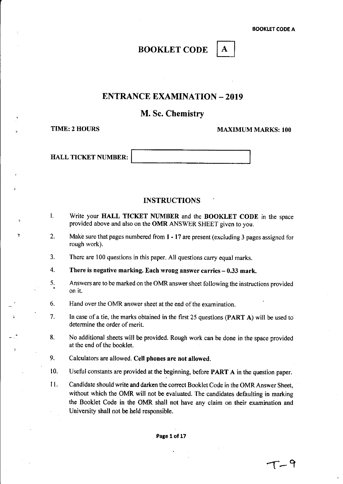# BOOKLET CODE | A

# ENTRANCE EXAMINATION - 2019

# M. Sc. Chemistry

~

,

 $\mathbf{r}$ 

TIME: 2 HOURS MAXIMUM MARKS: 100

HALL TICKET NUMBER:

# INSTRUCTIONS

- I. Write your HALL TICKET NUMBER and the BOOKLET CODE in the space provided above and also on the OMR ANSWER SHEET given to you.
- 2. Make sure that pages numbered from 1 - 17 are present (excluding 3 pages assigned for rough work).
- 3. There are 100 questions in this paper. All questions carry equal marks.
- 4. There is negative marking. Each wrong answer carries  $-0.33$  mark.
- 5. Answers are to be marked on the OMR answer sheet following the instructions provided on it.
- 6. Hand over the OMR answer sheet at the end of the examination.
- 7. In case of a tie, the marks obtained in the first 25 questions (PART A) will be used to determine the order of merit.
- 8. No additional sheets will be provided. Rough work can be done in the space provided at the end of the booklet.
- 9. Calculators are allowed. Cell phones are not allowed.
- 10. Useful constants are provided at the beginning, before PART A in the question paper.
- II. Candidate should write and darken the correct Booklet Code in the OMR Answer Sheet, without which the OMR will not be evaluated. The candidates defaulting in marking the Booklet Code in the OMR shall not have any claim on their examination and University shall not be held responsible.

Page 1 of 17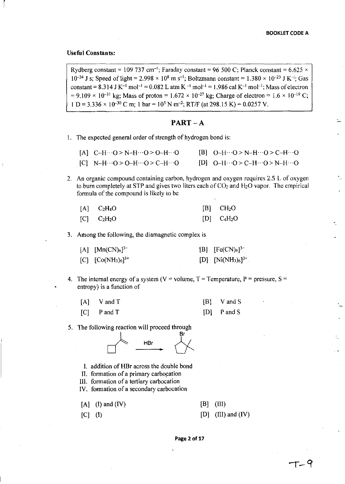# **Useful Constants:**

r

Rydberg constant = 109 737 cm<sup>-1</sup>; Faraday constant = 96 500 C; Planck constant = 6.625  $\times$  $10^{-34}$  J s; Speed of light = 2.998  $\times$  10<sup>8</sup> m s<sup>-1</sup>; Boltzmann constant = 1.380  $\times$  10<sup>-23</sup> J K<sup>-1</sup>; Gas constant =  $8.314$  J K<sup>-1</sup> mol<sup>-1</sup> =  $0.082$  L atm K<sup>-1</sup> mol<sup>-1</sup> =  $1.986$  cal K<sup>-1</sup> mol<sup>-1</sup>; Mass of electron  $= 9.109 \times 10^{-31}$  kg; Mass of proton = 1.672  $\times 10^{-27}$  kg; Charge of electron = 1.6  $\times 10^{-19}$  C;  $1 D = 3.336 \times 10^{-30}$  C m; 1 bar =  $10^5$  N m<sup>-2</sup>; RT/F (at 298.15 K) = 0.0257 V.

# **PART-A**

I. The expected general order of strength of hydrogen bond is:

| [A] $C-H\cdots O > N-H\cdots O > O-H\cdots O$        | $[B]$ O-H $\cdots$ O > N-H $\cdots$ O > C-H $\cdots$ O |
|------------------------------------------------------|--------------------------------------------------------|
| [C] N-H $\cdots$ O > O-H $\cdots$ O > C-H $\cdots$ O | [D] $Q-H \cdots Q > C-H \cdots Q > N-H \cdots Q$       |

2. An organic compound containing carbon, hydrogen and oxygen requires 2.5 L of oxygen to burn completely at STP and gives two liters each of  $CO<sub>2</sub>$  and  $H<sub>2</sub>O$  vapor. The empirical formula of the compound is likely to be

| $[A]$ $C_2H_4O$ | $[B]$ CH <sub>2</sub> O |
|-----------------|-------------------------|
| $[C]$ $C_2H_2O$ | $[D]$ $C_4H_2O$         |

3. Among the following, the diamagnetic complex is

| [A] $[Mn(CN)_6]^{3-}$   | [B] $[Fe(CN)_6]^{3-}$     |
|-------------------------|---------------------------|
| [C] $[Co(NH_3)_6]^{3+}$ | $[D]$ $[Ni(NH_3)_6]^{3+}$ |

4. The internal energy of a system ( $V =$  volume,  $T =$  Temperature,  $P =$  pressure,  $S =$ entropy) is a function of

| $[A]$ V and T | $[B]$ V and S |
|---------------|---------------|
| $[C]$ P and T | $[D]$ P and S |

5. The following reaction will proceed through



- I. addition of HBr across the double bond
- II. formation of a primary carbocation

1Il. formation of a tertiary carbocation

IV. formation of a secondary carbocation

 $[A]$  (I) and (IV) [B] (III)  $[C]$  (I)  $[D]$  (III) and (IV)

#### **Page 2 of 17**

--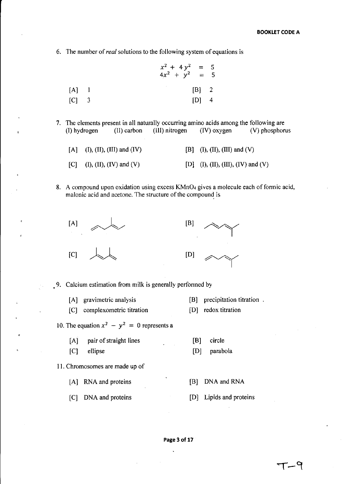6. The number of *real* solutions to the following system of equations is

$$
x^{2} + 4y^{2} = 5
$$
  
\n
$$
4x^{2} + y^{2} = 5
$$
  
\n[A] 1 [B] 2  
\n[C] 3 [D] 4

7. The elements present in all naturally occurring amino acids among the following are (I) hydrogen (II) carbon (III) nitrogen (IV) oxygen (V) phosphor (I) hydrogen (II) carbon (1II) nitrogen (IV) oxygen (V) phosphorus

| [A] (I), (II), (III) and (IV) | [B] (I), (II), (III) and (V)       |
|-------------------------------|------------------------------------|
| [C] (I), (II), (IV) and (V)   | [D] (I), (II), (III), (IV) and (V) |

8. A compound upon oxidation using excess KMn04 gives a molecule each of formic acid, malonic acid and acetone. The structure of the compound is





9. Calcium estimation from milk is generally performed by

| [A] gravimetric analysis                      | [B] precipitation titration. |  |
|-----------------------------------------------|------------------------------|--|
| [C] complexometric titration                  | [D] redox titration          |  |
| 10. The equation $x^2 - y^2 = 0$ represents a |                              |  |

- [A] pair of straight lines [B] circle
- [C] ellipse [D] parabola

# II. Chromosomes are made up of

- [A] RNA and proteins [B] DNA and RNA
- [C] DNA and proteins [0] Lipids and proteins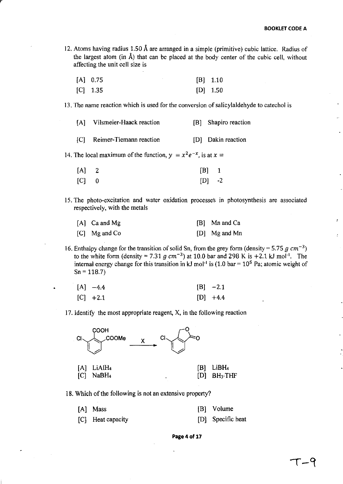12. Atoms having radius 1.50 A are arranged in a simple (primitive) cubic lattice. Radius of the largest atom (in  $\hat{A}$ ) that can be placed at the body center of the cubic cell, without affecting the unit cell size is

| $[A]$ 0.75 |  |  | $[B]$ 1.10 |
|------------|--|--|------------|
|            |  |  |            |

[C] 1.35 [D] 1.50

13. The name reaction which is used for the conversion of salicylaldehyde to catechol is

|  | [A] Vilsmeier-Haack reaction |  | [B] Shapiro reaction |
|--|------------------------------|--|----------------------|
|--|------------------------------|--|----------------------|

[C] Reimer-Tiemann reaction [D] Dakin reaction

14. The local maximum of the function,  $y = x^2 e^{-x}$ , is at  $x =$ 

| $[A]$ 2 | $[B]$ 1  |  |
|---------|----------|--|
| $[C]$ 0 | $[D]$ -2 |  |

15. The photo-excitation and water oxidation processes in photosynthesis are associated respectively, with the metals

| $[A]$ Ca and Mg | [B] Mn and Ca   |
|-----------------|-----------------|
| [C] Mg and Co   | $[D]$ Mg and Mn |

16. Enthalpy change for the transition of solid Sn, from the grey form (density = 5.75  $q \text{ cm}^{-3}$ ) to the white form (density = 7.31  $g \text{ cm}^{-3}$ ) at 10.0 bar and 298 K is +2.1 kJ mol<sup>-1</sup>. The internal energy change for this transition in kJ mol<sup>-1</sup> is (1.0 bar =  $10^5$  Pa; atomic weight of  $Sn = 118.7$ 

| $[A]$ -4.4 | $[B] -2.1$ |
|------------|------------|
| $[C]$ +2.1 | $[D]$ +4.4 |

17. Identify the most appropriate reagent, X, in the following reaction



18. Which of the following is not an extensive property?

| [A] Mass          | [B] Volume        |
|-------------------|-------------------|
| [C] Heat capacity | [D] Specific heat |

**Page4of17**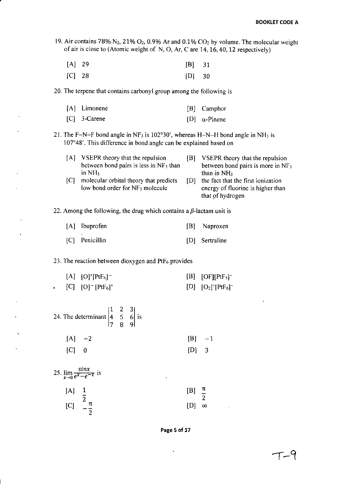19. Air contains 78% N<sub>2</sub>, 21% O<sub>2</sub>, 0.9% Ar and 0.1% CO<sub>2</sub> by volume. The molecular weight of air is close to (Atomic weight of N, 0, Ar, Care 14,16,40,12 respectively)

| $[A]$ 29 | $[B]$ 31 |  |
|----------|----------|--|
| $[C]$ 28 | $[D]$ 30 |  |

20. The terpene that contains carbonyl group among the following is

| [A] Limonene   | [B] Camphor          |
|----------------|----------------------|
| $[C]$ 3-Carene | [D] $\alpha$ -Pinene |

21. The F-N-F bond angle in NF<sub>3</sub> is 102°30', whereas H-N-H bond angle in NH<sub>3</sub> is 107°48'. This difference in bond angle can be explained based on

[A] VSEPR theory that the repulsion between bond pairs is less in  $NF<sub>3</sub>$  than in NH<sub>3</sub>

[B] VSEPR theory that the repulsion between bond pairs is more in NF<sub>3</sub> than in NH<sub>3</sub>

- [C] molecular orbital theory that predicts low bond order for NF<sub>3</sub> molecule
- [0] the fact that the first ionization energy of fluorine is higher than that of hydrogen

22. Among the following, the drug which contains a  $\beta$ -lactam unit is

| [A] Ibuprofen  | [B] Naproxen   |
|----------------|----------------|
| [C] Penicillin | [D] Sertraline |

## 23. The reaction between dioxygen and  $PtF_6$  provides

| $[A] [O]^+ [PtF_6]^-$ | $[B]$ [OF][PtF <sub>5</sub> ] |
|-----------------------|-------------------------------|
| [C] [O] $[PtF_6]^+$   | $[D] [O_2]^+ [PtF_6]^-$       |

| 24. The determinant $\begin{vmatrix} 1 & 2 & 3 \\ 4 & 5 & 6 \\ 7 & 8 & 9 \end{vmatrix}$ is |  |                     |
|--------------------------------------------------------------------------------------------|--|---------------------|
| $[A]$ $-2$                                                                                 |  |                     |
| $ C $ 0                                                                                    |  | $[B] -1$<br>$[D] 3$ |
| 25. $\lim_{x\to 0} \frac{\sin x}{e^x - e^{-x}}$ is                                         |  |                     |
| [A]                                                                                        |  | ь                   |

| L 71 | ---- | $\sim$ $\sim$ $\sim$ |   |
|------|------|----------------------|---|
|      |      |                      | റ |
| [C]  |      | $[D]$ $\infty$       |   |
|      |      |                      |   |

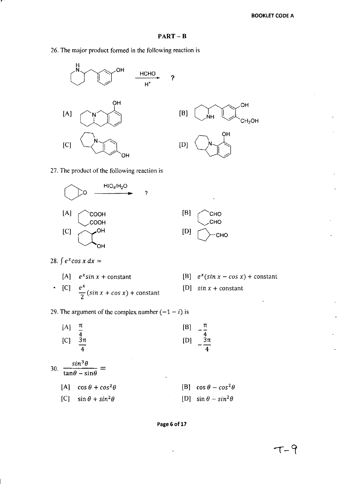?

26. The major product formed in the following reaction is





27. The product of the following reaction is





28.  $\int e^x \cos x \, dx =$ 

[A] 
$$
e^x \sin x + \text{constant}
$$
  
\n• [C]  $e^x$   
\n $\frac{e^x}{2} (\sin x + \cos x) + \text{constant}$ 

- [B]  $e^x(\sin x \cos x) + \text{constant}$
- [D]  $sin x + constant$

29. The argument of the complex number  $(-1 - i)$  is

|     | [A]<br>[C] | π<br>$\frac{4}{3π}$                                       | [B]<br>[D] | $3\pi$                      |
|-----|------------|-----------------------------------------------------------|------------|-----------------------------|
| 30. |            | $sin^3\theta$<br>$\frac{1}{\tan\theta - \sin\theta}$<br>٠ |            |                             |
|     | IAI.       | $\cos\theta + \cos^2\theta$                               | [B]        | $\cos\theta-\cos^2\theta$   |
|     | [C]        | $\sin \theta + \sin^2 \theta$                             |            | $\sin\theta - \sin^2\theta$ |

?



 $\ddot{\phantom{0}}$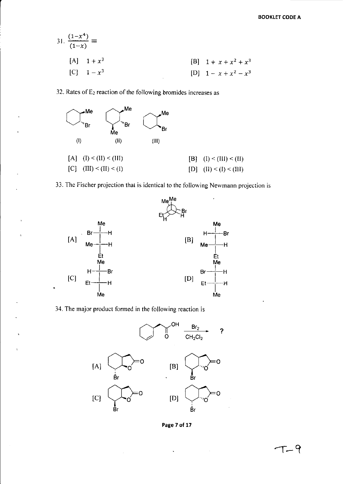31. 
$$
\frac{(1-x^4)}{(1-x)} =
$$
  
\n[A] 1 + x<sup>3</sup>  
\n[C] 1 - x<sup>3</sup>  
\n[B] 1 + x + x<sup>2</sup> + x<sup>3</sup>  
\n[D] 1 - x + x<sup>2</sup> - x<sup>3</sup>

32. Rates of  $E_2$  reaction of the following bromides increases as

r

i.



33. The Fischer projection that is identical to the following Newmann projection is



34. The major product formed in the following reaction is



**Page 7 of 17**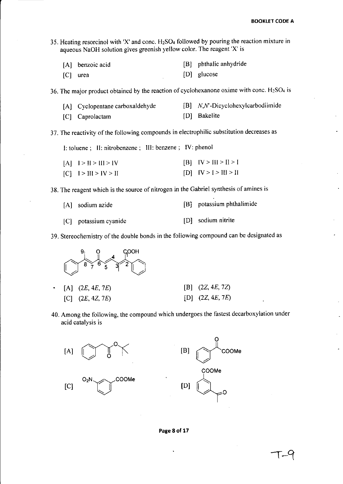35. Heating resorcinol with 'X' and conc. H2S04 followed by pouring the reaction mixture in aqueous NaOH solution gives greenish yellow color. The reagent 'X' is

| [A] benzoic acid | [B] phthalic anhydride |
|------------------|------------------------|
| $[C]$ urea       | [D] glucose            |

36. The major product obtained by the reaction of cyclohexanone oxime with conc.  $H_2SO_4$  is

| [A] Cyclopentane carboxaldehyde | $[B]$ N,N'-Dicyclohexylcarbodiimide |
|---------------------------------|-------------------------------------|
| [C] Caprolactam                 | [D] Bakelite                        |

37. The reactivity of the following compounds in electrophilic substitution decreases as

I: toluene; II: nitrobenzene; III: benzene; IV: phenol

| $[A]$ $I > II > III > IV$ | $[B]$ $[V > H] > I > I$   |
|---------------------------|---------------------------|
| $[C]$ $I > III > IV > II$ | $[D]$ $[V > 1 > III > II$ |

38. The reagent which is the source of nitrogen in the Gabriel synthesis of amines is

| [A] sodium azide        | [B] potassium phthalimide |
|-------------------------|---------------------------|
| $ C $ potassium cyanide | [D] sodium nitrite        |

39. Stereocliemistry of the double bonds in the following compound can be designated as



40. Among the following, the compound which undergoes the fastest decarboxylation under acid catalysis is



**Page 8 of 17**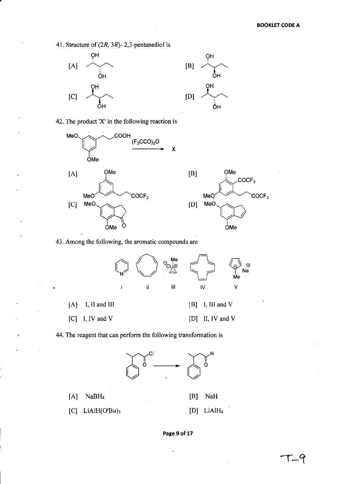41. Structure of (2R, 3R)- 2,3-pentanediol is



42. The product 'X' in the following reaction is





ŎΗ

ŌH

43. Among the following, the aromatic compounds are



44. The reagent that can perform the following transformation is



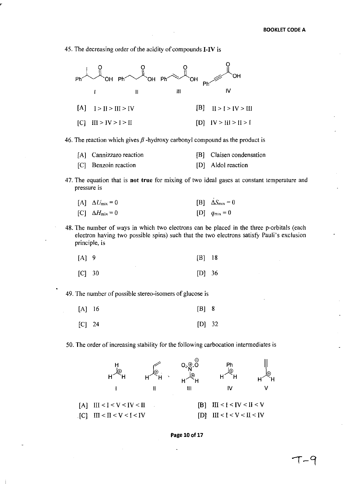45. The decreasing order of the acidity of compounds I-IV is



46. The reaction which gives  $\beta$  -hydroxy carbonyl compound as the product is

| [A] Cannizzaro reaction | [B] Claisen condensation |
|-------------------------|--------------------------|
| [C] Benzoin reaction    | [D] Aldol reaction       |

47. The equation that is not true for mixing of two ideal gases at constant temperature and pressure is

|  | [A] $\Delta U_{\text{mix}} = 0$ |  | [B] $\Delta S_{\text{mix}} = 0$ |
|--|---------------------------------|--|---------------------------------|
|--|---------------------------------|--|---------------------------------|

- $[CI \Delta H_{mix} = 0$  $[D]$   $q_{mix} = 0$
- 48. The number of ways in which two electrons can be placed in the three p-orbitals (each electron having two possible spins) such that the two electrons satisfy Pauli's exclusion principle, is

| $[A]$ 9  | $[B]$ 18 |  |
|----------|----------|--|
| $[C]$ 30 | $[D]$ 36 |  |

49. The number of possible stereo-isomers of glucose is

| $[A]$ 16 | $[B]$ 8  |  |
|----------|----------|--|
| $[C]$ 24 | $[D]$ 32 |  |

50. The order of increasing stability for the following carbocation intermediates is



#### Page 10 of 17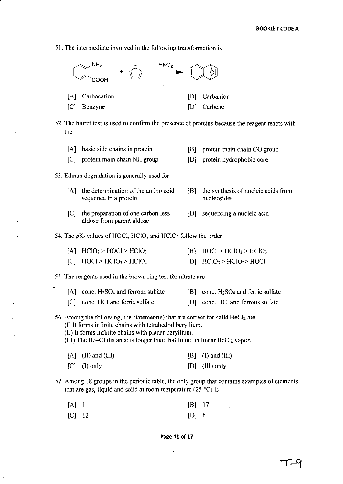51. The intermediate involved in the following transformation is



52. The biuret test is used to confirm the presence of proteins because the reagent reacts with the

|     | [A] basic side chains in protein                                                                                                                                                                                                                                                  | [B] | protein main chain CO group                                   |
|-----|-----------------------------------------------------------------------------------------------------------------------------------------------------------------------------------------------------------------------------------------------------------------------------------|-----|---------------------------------------------------------------|
|     | [C] protein main chain NH group                                                                                                                                                                                                                                                   |     | [D] protein hydrophobic core                                  |
|     | 53. Edman degradation is generally used for                                                                                                                                                                                                                                       |     |                                                               |
| [A] | the determination of the amino acid<br>sequence in a protein                                                                                                                                                                                                                      | [B] | the synthesis of nucleic acids from<br>nucleosides            |
| [C] | the preparation of one carbon less<br>aldose from parent aldose                                                                                                                                                                                                                   | [D] | sequencing a nucleic acid                                     |
|     | 54. The $pK_a$ values of HOCl, HClO <sub>2</sub> and HClO <sub>3</sub> follow the order                                                                                                                                                                                           |     |                                                               |
|     | $[A]$ HClO <sub>2</sub> > HOCl > HClO <sub>3</sub>                                                                                                                                                                                                                                |     | $[B]$ HOCl > HClO <sub>2</sub> > HClO <sub>3</sub>            |
|     | $[C]$ HOCl > HClO <sub>3</sub> > HClO <sub>2</sub>                                                                                                                                                                                                                                |     | $[D]$ HClO <sub>3</sub> > HClO <sub>2</sub> > HOCl            |
|     | 55. The reagents used in the brown ring test for nitrate are                                                                                                                                                                                                                      |     |                                                               |
|     | $[A]$ conc. H <sub>2</sub> SO <sub>4</sub> and ferrous sulfate                                                                                                                                                                                                                    |     | $[B]$ conc. H <sub>2</sub> SO <sub>4</sub> and ferric sulfate |
| C   | conc. HCl and ferric sulfate                                                                                                                                                                                                                                                      | D   | conc. HCl and ferrous sulfate                                 |
|     | 56. Among the following, the statement(s) that are correct for solid $BeCl2$ are<br>(I) It forms infinite chains with tetrahedral beryllium.<br>(II) It forms infinite chains with planar beryllium.<br>(III) The Be-Cl distance is longer than that found in linear BeCl2 vapor. |     |                                                               |
| [A] | (II) and (III)                                                                                                                                                                                                                                                                    | B   | $(I)$ and $(III)$                                             |
| [C] | $(I)$ only                                                                                                                                                                                                                                                                        | [D] | (III) only                                                    |
|     | 57. Among 18 groups in the periodic table, the only group that contains examples of elements<br>that are gas, liquid and solid at room temperature (25 $^{\circ}$ C) is                                                                                                           |     |                                                               |
| [A] | - 1                                                                                                                                                                                                                                                                               | [B] | 17                                                            |

[C] 12 [0] 6

**Page 11 of 17** 

l,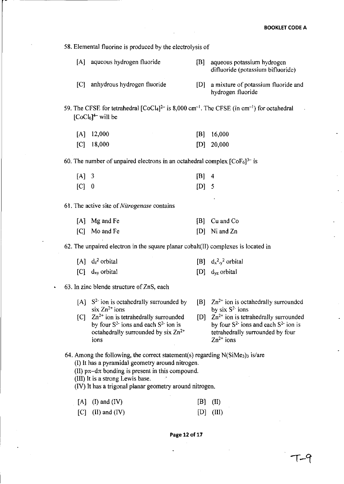58. Elemental fluorine is produced by the electrolysis of

|  | [A] aqueous hydrogen fluoride |  | [B] aqueous potassium hydrogen<br>difluoride (potassium bifluoride) |
|--|-------------------------------|--|---------------------------------------------------------------------|
|--|-------------------------------|--|---------------------------------------------------------------------|

[C] anhydrous hydrogen fluoride [0] a mixture of potassium fluoride and hydrogen fluoride

59. The CFSE for tetrahedral  $[CoCl<sub>4</sub>]<sup>2–</sup>$  is 8,000 cm<sup>-1</sup>. The CFSE (in cm<sup>-1</sup>) for octahedral  $[CoCl<sub>6</sub>]^{4-}$  will be

| $[A]$ 12,000 |  | $[B]$ 16,000 |
|--------------|--|--------------|
| $[C]$ 18,000 |  | $[D]$ 20,000 |

60. The number of unpaired electrons in an octahedral complex  $[CoFe]^{3-}$  is

| $[A]$ 3 | $[B]$ 4 |  |
|---------|---------|--|
| $[C]$ 0 | $[D]$ 5 |  |

61. The active site of *Nitrogenase* contains

| [A] Mg and Fe | [B] Cu and Co   |
|---------------|-----------------|
| [C] Mo and Fe | $[D]$ Ni and Zn |

62. The unpaired electron in the square planar cobalt(lI) complexes is located in

| $[A]$ d <sub>z</sub> <sup>2</sup> orbital | [B] $d_x^2 - y^2$ orbital     |
|-------------------------------------------|-------------------------------|
| $[C]$ d <sub>xy</sub> orbital             | $[D]$ d <sub>yz</sub> orbital |

## 63. In zinc blende structure of ZnS, each

- [A]  $S<sup>2</sup>$  ion is octahedrally surrounded by six  $Zn^{2+}$  ions  $[C]$   $Zn^{2+}$  ion is tetrahedrally surrounded  $[B]$  Zn<sup>2+</sup> ion is octahedrally surrounded by six  $S^2$  ions
- by four  $S^2$  ions and each  $S^2$  ion is octahedrally surrounded by six  $Zn^{2+}$ ions
- [D]  $Zn^{2+}$  ion is tetrahedrally surrounded by four  $S^2$  ions and each  $S^2$  ion is tetrahedrally surrounded by four  $Zn^{2+}$  ions

64. Among the following, the correct statement(s) regarding  $N(SiMe<sub>3</sub>)<sub>3</sub>$  is/are

- (I) It has a pyramidal geometry around nitrogen.
- (II)  $p\pi d\pi$  bonding is present in this compound.

(III) It is a strong Lewis base.

(IV) It has a trigonal planar geometry around nitrogen.

| $[A]$ (I) and (IV) | $[B]$ $(II)$ |  |
|--------------------|--------------|--|
|                    |              |  |

 $[C]$  (II) and (IV)  $[D]$  (III)

**Page 12 of 17**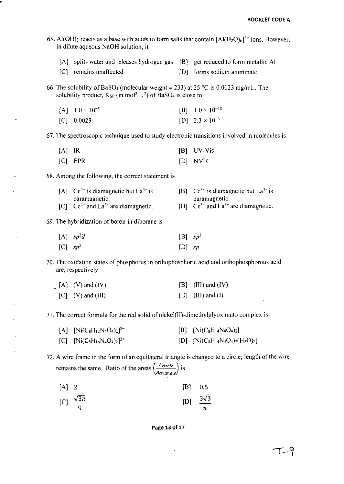| 65. Al(OH) <sub>3</sub> reacts as a base with acids to form salts that contain $[AI(H_2O)_6]^{3+}$ ions. However,<br>in dilute aqueous NaOH solution, it |                                                                                                                                                                                                        |         |                                                                |  |  |  |
|----------------------------------------------------------------------------------------------------------------------------------------------------------|--------------------------------------------------------------------------------------------------------------------------------------------------------------------------------------------------------|---------|----------------------------------------------------------------|--|--|--|
|                                                                                                                                                          | [A] splits water and releases hydrogen gas [B] get reduced to form metallic Al                                                                                                                         |         |                                                                |  |  |  |
| C                                                                                                                                                        | remains unaffected                                                                                                                                                                                     | [D]     | forms sodium aluminate                                         |  |  |  |
|                                                                                                                                                          | 66. The solubility of BaSO <sub>4</sub> (molecular weight = 233) at 25 °C is 0.0023 mg/mL. The<br>solubility product, $K_{SP}$ (in mol <sup>2</sup> L <sup>-2</sup> ) of BaSO <sub>4</sub> is close to |         |                                                                |  |  |  |
| [A]                                                                                                                                                      | $1.0 \times 10^{-5}$                                                                                                                                                                                   |         | $[B]$ 1.0 × 10 <sup>-10</sup>                                  |  |  |  |
| [C]                                                                                                                                                      | 0.0023                                                                                                                                                                                                 |         | $[D]$ 2.3 × 10 <sup>-3</sup>                                   |  |  |  |
|                                                                                                                                                          | 67. The spectroscopic technique used to study electronic transitions involved in molecules is                                                                                                          |         |                                                                |  |  |  |
| [A]                                                                                                                                                      | IR                                                                                                                                                                                                     | [B]     | UV-Vis                                                         |  |  |  |
| C                                                                                                                                                        | EPR                                                                                                                                                                                                    | [D]     | <b>NMR</b>                                                     |  |  |  |
|                                                                                                                                                          | 68. Among the following, the correct statement is                                                                                                                                                      |         |                                                                |  |  |  |
| [A]                                                                                                                                                      | $Ce^{4+}$ is diamagnetic but $La^{3+}$ is<br>paramagnetic.                                                                                                                                             |         | [B] $Ce^{3+}$ is diamagnetic but $La^{3+}$ is<br>paramagnetic. |  |  |  |
| C                                                                                                                                                        | $Ce^{4+}$ and $La^{3+}$ are diamagnetic.                                                                                                                                                               |         | [D] $Ce^{3+}$ and $La^{3+}$ are diamagnetic.                   |  |  |  |
|                                                                                                                                                          | 69. The hybridization of boron in diborane is                                                                                                                                                          |         |                                                                |  |  |  |
|                                                                                                                                                          | $[A]$ $sp^3d$                                                                                                                                                                                          | $\{B\}$ | $sp^3$                                                         |  |  |  |
| $[C]$ sp <sup>2</sup>                                                                                                                                    |                                                                                                                                                                                                        | [D]     | sp                                                             |  |  |  |

70. The oxidation states of phosphorus in orthophosphoric acid and orthophosphorous acid are, respectively

| $[A]$ $(V)$ and $(IV)$ | $[B]$ (III) and (IV) |
|------------------------|----------------------|
| $[C]$ (V) and (III)    | $[D]$ (III) and (I)  |

71. The correct formula for the red solid ofnickel(ll)-dimethylglyoximato complex is

| $[A]$ $[Ni(C_8H_{12}N_4O_4)_2]^{2-}$ | [B] $[Ni(C_8H_{14}N_4O_4)_2]$         |
|--------------------------------------|---------------------------------------|
| [C] $[Ni(C_8H_{16}N_4O_4)_2]^{2+}$   | [D] $[Ni(C_8H_{14}N_4O_4)_2(H_2O)_2]$ |

72. A wire frame in the form of an equilateral triangle is changed to a circle; length of the wire remains the same. Ratio of the areas  $\left(\frac{A_{circle}}{Artangled}\right)$  is

| $[A]$ 2 |                             | $[B]$ 0.5                 |  |
|---------|-----------------------------|---------------------------|--|
|         | [C] $\frac{\sqrt{3\pi}}{9}$ | [D] $\frac{3\sqrt{3}}{2}$ |  |



 $\ddot{\phantom{0}}$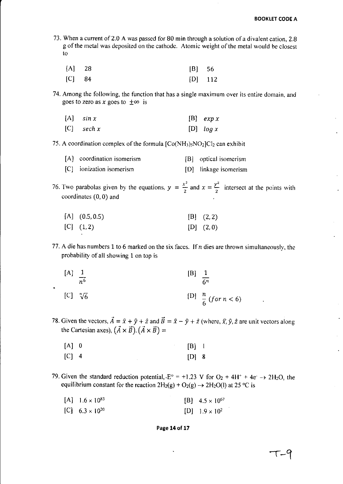73. When a current of 2.0 A was passed for 80 min through a solution of a divalent cation, 2.8 g of the metal was deposited on the cathode. Atomic weight of the metal would be closest to

| $[A]$ 28 | $ B $ 56  |  |
|----------|-----------|--|
| $[C]$ 84 | $[D]$ 112 |  |

74. Among the following, the function that has a single maximum over its entire domain. and goes to zero as *x* goes to  $\pm \infty$  is

| $[A]$ sin x  | $[B]$ exp x |
|--------------|-------------|
| $[C]$ sech x | [D] $log x$ |

75. A coordination complex of the formula  $[Co(NH<sub>3</sub>)<sub>5</sub>NO<sub>2</sub>]Cl<sub>2</sub>$  can exhibit

| [A] coordination isomerism | [B] optical isomerism |
|----------------------------|-----------------------|
| [C] ionization isomerism   | [D] linkage isomerism |

76. Two parabolas given by the equations,  $y = \frac{x^2}{2}$  and  $x = \frac{y^2}{2}$  intersect at the points with coordinates (0,0) and

| $[A]$ (0.5, 0.5) | [B] (2,2) |
|------------------|-----------|
| [C] (1,2)        | [D] (2,0) |

77. A die has numbers 1 to 6 marked on the six faces. If  $n$  dies are thrown simultaneously, the probability of all showing 1 on top is

[A] 
$$
\frac{1}{n^6}
$$
 [B]  $\frac{1}{6^n}$   
\n[C]  $\sqrt[n]{6}$  [D]  $\frac{n}{6}$  (for  $n < 6$ )

78. Given the vectors,  $\vec{A} = \hat{x} + \hat{y} + \hat{z}$  and  $\vec{B} = \hat{x} - \hat{y} + \hat{z}$  (where,  $\hat{x}$ ,  $\hat{y}$ ,  $\hat{z}$  are unit vectors along the Cartesian axes),  $(\vec{A} \times \vec{B})$ .  $(\vec{A} \times \vec{B})$  =

| $[A]$ 0 |  | $\begin{bmatrix} B \end{bmatrix}$ 1 |  |
|---------|--|-------------------------------------|--|
| $[C]$ 4 |  | $[D]$ 8                             |  |

79. Given the standard reduction potential,  $E^{\circ} = +1.23$  V for  $O_2 + 4H^+ + 4e^- \rightarrow 2H_2O$ , the equilibrium constant for the reaction  $2H_2(g) + O_2(g) \rightarrow 2H_2O(l)$  at 25 °C is

| [A] $1.6 \times 10^{83}$ | $[B]$ 4.5 $\times$ 10 <sup>67</sup> |
|--------------------------|-------------------------------------|
| [C] $6.3 \times 10^{20}$ | $[D]$ 1.9 $\times$ 10 <sup>2</sup>  |

### **Page 14 of 17**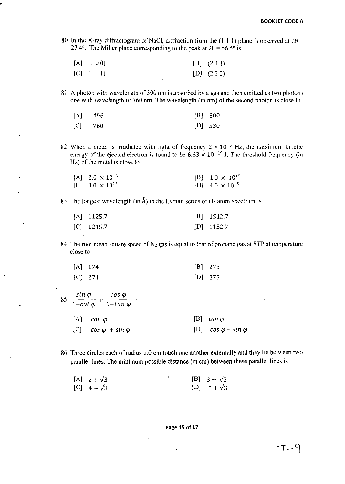80. In the X-ray diffractogram of NaCl, diffraction from the (1 1 1) plane is observed at  $2\theta$  = 27.4°. The Miller plane corresponding to the peak at  $2\theta = 56.5^\circ$  is

| $[A]$ $(100)$ | $[B]$ $(2 1 1)$ |
|---------------|-----------------|
| $[C]$ $(111)$ | $[D]$ (2.2.2)   |

81. A photon with wavelength of 300 nm is absorbed by a gas and then emitted as two photons one with wavelength of 760 nm. The wavelength (in nm) of the second photon is close to

| $[A]$ 496 |  | $[B]$ 300 |
|-----------|--|-----------|
| $[C]$ 760 |  | $[D]$ 530 |

82. When a metal is irradiated with light of frequency  $2 \times 10^{15}$  Hz, the maximum kinetic energy of the ejected electron is found to be  $6.63 \times 10^{-19}$  J. The threshold frequency (in  $Hz$ ) of the metal is close to

| $[A]$ 2.0 $\times$ 10 <sup>15</sup> | [B] $1.0 \times 10^{15}$ |
|-------------------------------------|--------------------------|
| [C] $3.0 \times 10^{15}$            | [D] $4.0 \times 10^{15}$ |

83. The longest wavelength (in Å) in the Lyman series of  $H^2$  atom spectrum is

| $[A]$ 1125.7 | $[B]$ 1512.7 |
|--------------|--------------|
| $[C]$ 1215.7 | $[D]$ 1152.7 |

84. The root mean square speed of  $N_2$  gas is equal to that of propane gas at STP at temperature close to

| [A] 174   | $[B]$ 273 |
|-----------|-----------|
| $[C]$ 274 | $[D]$ 373 |

| 85. | $\frac{\sin \varphi}{1-\cot \varphi} + \frac{\cos \varphi}{1-\tan \varphi} =$ |                                 |
|-----|-------------------------------------------------------------------------------|---------------------------------|
|     | $[A]$ cot $\varphi$                                                           | $[B]$ tan $\varphi$             |
|     | [C] $cos \varphi + sin \varphi$                                               | [D] $cos \varphi - sin \varphi$ |

86. Three circles each of radius 1.0 cm touch one another externally and they lie between two parallel lines. The minimum possible distance (in cm) between these parallel lines is

| $[A]$ 2 + $\sqrt{3}$ |  | $[B]$ 3 + $\sqrt{3}$ |
|----------------------|--|----------------------|
| $[C]$ 4 + $\sqrt{3}$ |  | [D] $5 + \sqrt{3}$   |

# Page 15 of 17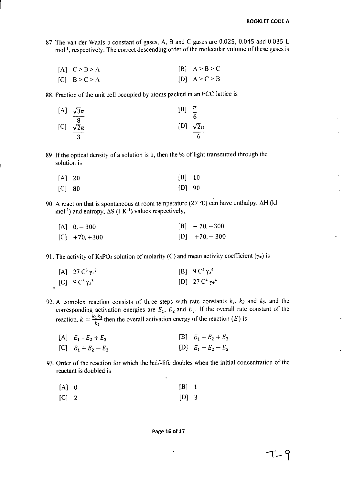- 87. The van der Waals b constant of gases, A, Band C gases are 0.025, 0.045 and 0.035 L mol<sup>-1</sup>, respectively. The correct descending order of the molecular volume of these gases is
	- $[A]$   $C > B > A$  $[C]$  B > C > A  $[B]$   $A > B > C$  $[D]$   $A > C > B$

88. Fraction of the unit cell occupied by atoms packed in an FCC lattice is

|     | [A] $\sqrt{3}\pi$ | ſB1 | $\boldsymbol{\mu}$ |
|-----|-------------------|-----|--------------------|
|     | 8                 |     | 6                  |
| [C] | $\sqrt{2}\pi$     |     | [D] $\sqrt{2}\pi$  |
|     |                   |     |                    |

89. If the optical density of a solution is 1, then the % of light transmitted through the solution is

| $[A]$ 20 | $[B]$ 10 |  |
|----------|----------|--|
| $[C]$ 80 | $[D]$ 90 |  |

90. A reaction that is spontaneous at room temperature (27 °C) can have enthalpy,  $\Delta H$  (kJ) mol<sup>-1</sup>) and entropy,  $\Delta S$  (J K<sup>-1</sup>) values respectively,

| $[A]$ 0, -300   | $[B]$ - 70, -300 |
|-----------------|------------------|
| $[C]$ +70, +300 | $[D]$ +70, -300  |

91. The activity of K<sub>3</sub>PO<sub>4</sub> solution of molarity (C) and mean activity coefficient ( $\gamma_{\pm}$ ) is

| [A] $27 \text{ C}^3 \gamma_{\pm}^3$ | [B] $9 C^4 \gamma_1^4$  |
|-------------------------------------|-------------------------|
| [C] $9 C^3 \gamma_2^3$              | [D] $27 C^4 \gamma_4^4$ |

92. A complex reaction consists of three steps with rate constants  $k_1$ ,  $k_2$  and  $k_3$ , and the corresponding activation energies are  $E_1$ ,  $E_2$  and  $E_3$ . If the overall rate constant of the reaction,  $k = \frac{k_1 k_3}{k_2}$  then the overall activation energy of the reaction (*E*) is

| [A] $E_1 - E_2 + E_3$ | [B] $E_1 + E_2 + E_3$ |
|-----------------------|-----------------------|
| [C] $E_1 + E_2 - E_3$ | [D] $E_1 - E_2 - E_3$ |

93. Order of the reaction for which the half-life doubles when the initial concentration of the reactant is doubled is

| $[A]$ 0 | $[B]$ 1 |  |
|---------|---------|--|
| $[C]$ 2 | $[D]$ 3 |  |

**Page 16 of 17**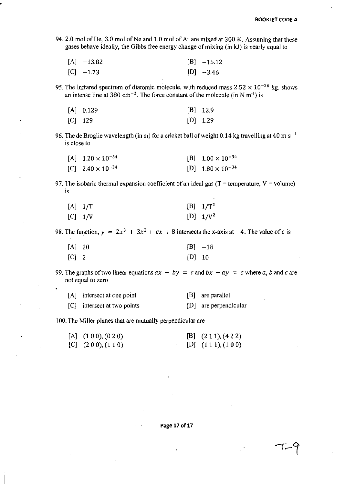94. 2.0 mol of He, 3.0 mol of Ne and 1.0 mol of Ar are mixed at 300 K. Assuming that these gases behave ideally, the Gibbs free energy change of mixing (in kJ) is nearly equal to

| $[A]$ -13.82 | $[B] -15.12$ |
|--------------|--------------|
| $[C] -1.73$  | $[D] -3.46$  |

95. The infrared spectrum of diatomic molecule, with reduced mass  $2.52 \times 10^{-26}$  kg, shows an intense line at 380 cm<sup>-1</sup>. The force constant of the molecule (in N m<sup>-1</sup>) is

| $[A]$ 0.129 | $[B]$ 12.9 |
|-------------|------------|
| $[C]$ 129   | $[D]$ 1.29 |

96. The de Broglie wavelength (in m) for a cricket ball of weight 0.14 kg travelling at 40 m  $s^{-1}$ is close to

| $[A]$ 1.20 $\times$ 10 <sup>-34</sup> | $[B]$ 1.00 $\times$ 10 <sup>-34</sup> |
|---------------------------------------|---------------------------------------|
| [C] $2.40 \times 10^{-34}$            | $[D]$ 1.80 $\times$ 10 <sup>-34</sup> |

97. The isobaric thermal expansion coefficient of an ideal gas ( $T =$  temperature,  $V =$  volume) is

| $[A]$ 1/T | $[B]$ 1/T <sup>2</sup> |
|-----------|------------------------|
| $[C]$ 1/V | [D] $1/V^2$            |

98. The function,  $y = 2x^3 + 3x^2 + cx + 8$  intersects the x-axis at -4. The value of *c* is

| $[A]$ 20 |          | $[B] -18$ |
|----------|----------|-----------|
| $[C]$ 2  | $[D]$ 10 |           |

99. The graphs of two linear equations  $ax + by = c$  and  $bx - ay = c$  where a, b and c are not equal to zero

| [A] intersect at one point  | [B] are parallel      |
|-----------------------------|-----------------------|
| [C] intersect at two points | [D] are perpendicular |

100. The Miller planes that are mutually perpendicular are

| $[A]$ $(100), (020)$ | $[B]$ $(211), (422)$ |
|----------------------|----------------------|
| $[C]$ $(200),(110)$  | [D] $(111),(100)$    |